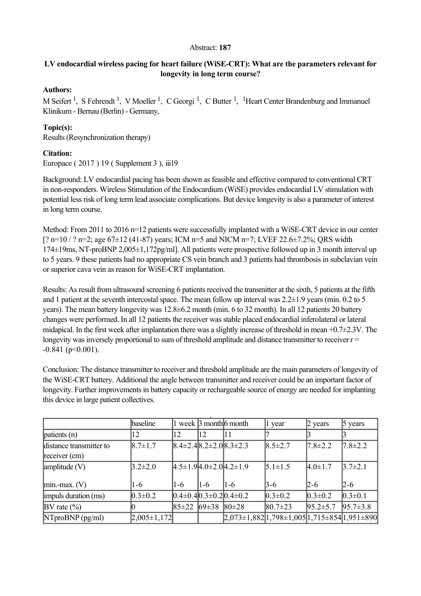### Abstract: **187**

# LV endocardial wireless pacing for heart failure (WiSE-CRT): What are the parameters relevant for **longevity in long term course?**

## **Authors:**

M Seifert<sup>1</sup>, S Fehrendt<sup>1</sup>, V Moeller<sup>1</sup>, C Georgi<sup>1</sup>, C Butter<sup>1</sup>, <sup>1</sup> Heart Center Brandenburg and Immanuel Klinikum - Bernau (Berlin) - Germany,

## **Topic(s):**

Results (Resynchronization therapy)

## **Citation:**

Europace ( 2017 ) 19 ( Supplement 3 ), iii19

Background: LV endocardial pacing has been shown as feasible and effective compared to conventional CRT in non-responders. Wireless Stimulation of the Endocardium (WiSE) provides endocardial LV stimulation with potential less risk of long term lead associate complications. But device longevity is also a parameter of interest in long term course.

Method: From 2011 to 2016 n=12 patients were successfully implanted with a WiSE-CRT device in our center  $[? \text{ n=10} / ? \text{ n=2}; \text{ age } 67 \pm 12 (41-87) \text{ years}; \text{ ICM n=5 and NICM n=7}; \text{ LVEF 22.6} \pm 7.2\%; \text{ ORS width}$  $174\pm19$ ms, NT-proBNP 2,005 $\pm1,172$ pg/ml]. All patients were prospective followed up in 3 month interval up to 5 years. 9 these patients had no appropriate CS vein branch and 3 patients had thrombosis in subclavian vein or superior cava vein as reason for WiSE-CRT implantation.

Results: As result from ultrasound screening 6 patients received the transmitter at the sixth, 5 patients at the fifth and 1 patient at the seventh intercostal space. The mean follow up interval was 2.2±1.9 years (min. 0.2 to 5 years). The mean battery longevity was 12.8±6.2 month (min. 6 to 32 month). In all 12 patients 20 battery changes were performed. In all 12 patients the receiver was stable placed endocardial inferolateral or lateral midapical. In the first week after implantation there was a slightly increase of threshold in mean  $+0.7\pm2.3V$ . The longevity was inversely proportional to sum of threshold amplitude and distance transmitter to receiver  $r =$  $-0.841$  (p<0.001).

Conclusion: The distance transmitter to receiver and threshold amplitude are the main parameters of longevity of the WiSE-CRT battery. Additional the angle between transmitter and receiver could be an important factor of longevity. Further improvements in battery capacity or rechargeable source of energy are needed for implanting this device in large patient collectives.

|                                            | baseline        |             |                         | week $\beta$ month 6 month                                              | 1 year         | $\beta$ years  | 5 years        |
|--------------------------------------------|-----------------|-------------|-------------------------|-------------------------------------------------------------------------|----------------|----------------|----------------|
| $\phi$ patients (n)                        | 12              | 12          | 12                      | 11                                                                      |                |                |                |
| distance transmitter to<br>receiver $(cm)$ | $8.7 \pm 1.7$   |             |                         | $ 8.4\pm 2.4 8.2\pm 2.0 8.3\pm 2.3 $                                    | $8.5 \pm 2.7$  | $7.8 \pm 2.2$  | $7.8 \pm 2.2$  |
| $\lambda$ (V)                              | $3.2 \pm 2.0$   |             |                         | $4.5\pm1.94.0\pm2.04.2\pm1.9$                                           | $5.1 \pm 1.5$  | $4.0 \pm 1.7$  | $3.7 \pm 2.1$  |
| $\lim_{\text{min-max.}} (V)$               | $1-6$           | $1-6$       | $1-6$                   | $1-6$                                                                   | 3-6            | $ 2-6 $        | 2-6            |
| impuls duration (ms)                       | $0.3 \pm 0.2$   |             |                         | $[0.4\pm0.4]$ $(0.3\pm0.2]$ $(0.4\pm0.2)$                               | $0.3 \pm 0.2$  | $0.3 \pm 0.2$  | $ 0.3 \pm 0.1$ |
| $\mathbb{B}V$ rate $(\% )$                 |                 | $85 \pm 22$ | 69 $\pm$ 38 80 $\pm$ 28 |                                                                         | $ 80.7 \pm 23$ | $95.2 \pm 5.7$ | $95.7 \pm 3.8$ |
| $N$ TproBNP (pg/ml)                        | $2,005\pm1,172$ |             |                         | $[2,073 \pm 1,882]$ 1,798 $\pm 1,005$  1,715 $\pm 854$  1,951 $\pm 890$ |                |                |                |